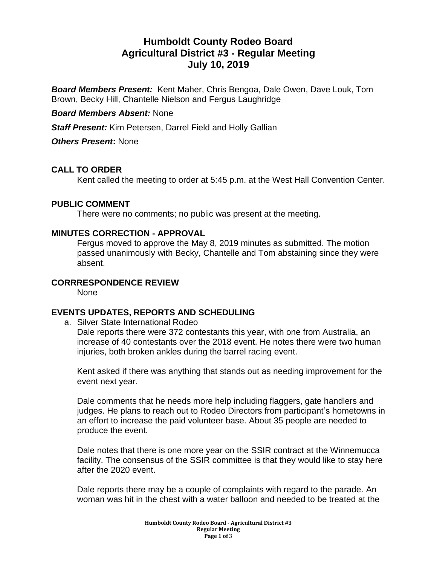# **Humboldt County Rodeo Board Agricultural District #3 - Regular Meeting July 10, 2019**

*Board Members Present:* Kent Maher, Chris Bengoa, Dale Owen, Dave Louk, Tom Brown, Becky Hill, Chantelle Nielson and Fergus Laughridge

#### *Board Members Absent:* None

*Staff Present:* Kim Petersen, Darrel Field and Holly Gallian

*Others Present***:** None

#### **CALL TO ORDER**

Kent called the meeting to order at 5:45 p.m. at the West Hall Convention Center.

#### **PUBLIC COMMENT**

There were no comments; no public was present at the meeting.

#### **MINUTES CORRECTION - APPROVAL**

Fergus moved to approve the May 8, 2019 minutes as submitted. The motion passed unanimously with Becky, Chantelle and Tom abstaining since they were absent.

## **CORRRESPONDENCE REVIEW**

None

#### **EVENTS UPDATES, REPORTS AND SCHEDULING**

a. Silver State International Rodeo Dale reports there were 372 contestants this year, with one from Australia, an increase of 40 contestants over the 2018 event. He notes there were two human injuries, both broken ankles during the barrel racing event.

Kent asked if there was anything that stands out as needing improvement for the event next year.

Dale comments that he needs more help including flaggers, gate handlers and judges. He plans to reach out to Rodeo Directors from participant's hometowns in an effort to increase the paid volunteer base. About 35 people are needed to produce the event.

Dale notes that there is one more year on the SSIR contract at the Winnemucca facility. The consensus of the SSIR committee is that they would like to stay here after the 2020 event.

Dale reports there may be a couple of complaints with regard to the parade. An woman was hit in the chest with a water balloon and needed to be treated at the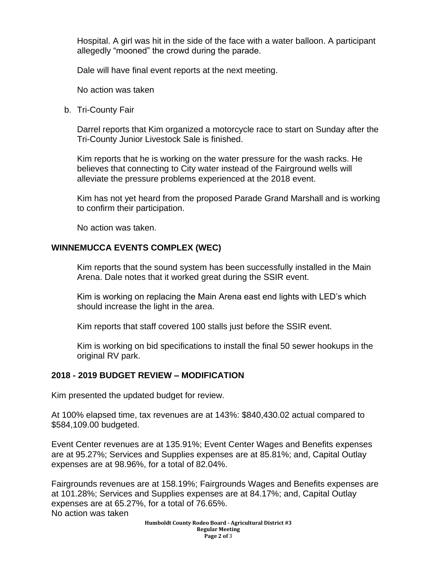Hospital. A girl was hit in the side of the face with a water balloon. A participant allegedly "mooned" the crowd during the parade.

Dale will have final event reports at the next meeting.

No action was taken

b. Tri-County Fair

Darrel reports that Kim organized a motorcycle race to start on Sunday after the Tri-County Junior Livestock Sale is finished.

Kim reports that he is working on the water pressure for the wash racks. He believes that connecting to City water instead of the Fairground wells will alleviate the pressure problems experienced at the 2018 event.

Kim has not yet heard from the proposed Parade Grand Marshall and is working to confirm their participation.

No action was taken.

#### **WINNEMUCCA EVENTS COMPLEX (WEC)**

Kim reports that the sound system has been successfully installed in the Main Arena. Dale notes that it worked great during the SSIR event.

Kim is working on replacing the Main Arena east end lights with LED's which should increase the light in the area.

Kim reports that staff covered 100 stalls just before the SSIR event.

Kim is working on bid specifications to install the final 50 sewer hookups in the original RV park.

#### **2018 - 2019 BUDGET REVIEW – MODIFICATION**

Kim presented the updated budget for review.

At 100% elapsed time, tax revenues are at 143%: \$840,430.02 actual compared to \$584,109.00 budgeted.

Event Center revenues are at 135.91%; Event Center Wages and Benefits expenses are at 95.27%; Services and Supplies expenses are at 85.81%; and, Capital Outlay expenses are at 98.96%, for a total of 82.04%.

Fairgrounds revenues are at 158.19%; Fairgrounds Wages and Benefits expenses are at 101.28%; Services and Supplies expenses are at 84.17%; and, Capital Outlay expenses are at 65.27%, for a total of 76.65%. No action was taken

> **Humboldt County Rodeo Board - Agricultural District #3 Regular Meeting Page 2 of** 3